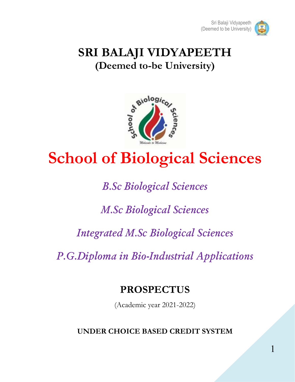

## **SRI BALAJI VIDYAPEETH (Deemed to-be University)**



# **School of Biological Sciences**

## *B.Sc Biological Sciences*

## *M.Sc Biological Sciences*

## *Integrated M.Sc Biological Sciences*

*P.G.Diploma in Bio-Industrial Applications*

## **PROSPECTUS**

(Academic year 2021-2022)

**UNDER CHOICE BASED CREDIT SYSTEM**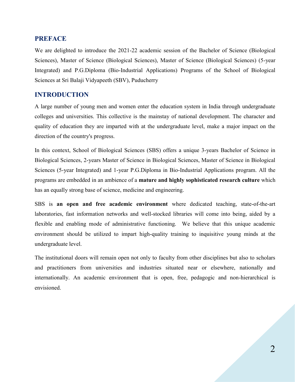#### **PREFACE**

We are delighted to introduce the 2021-22 academic session of the Bachelor of Science (Biological Sciences), Master of Science (Biological Sciences), Master of Science (Biological Sciences) (5-year Integrated) and P.G.Diploma (Bio-Industrial Applications) Programs of the School of Biological Sciences at Sri Balaji Vidyapeeth (SBV), Puducherry

#### **INTRODUCTION**

A large number of young men and women enter the education system in India through undergraduate colleges and universities. This collective is the mainstay of national development. The character and quality of education they are imparted with at the undergraduate level, make a major impact on the direction of the country's progress.

In this context, School of Biological Sciences (SBS) offers a unique 3-years Bachelor of Science in Biological Sciences, 2-years Master of Science in Biological Sciences, Master of Science in Biological Sciences (5-year Integrated) and 1-year P.G.Diploma in Bio-Industrial Applications program. All the programs are embedded in an ambience of a **mature and highly sophisticated research culture** which has an equally strong base of science, medicine and engineering.

SBS is **an open and free academic environment** where dedicated teaching, state-of-the-art laboratories, fast information networks and well-stocked libraries will come into being, aided by a flexible and enabling mode of administrative functioning. We believe that this unique academic environment should be utilized to impart high-quality training to inquisitive young minds at the undergraduate level.

The institutional doors will remain open not only to faculty from other disciplines but also to scholars and practitioners from universities and industries situated near or elsewhere, nationally and internationally. An academic environment that is open, free, pedagogic and non-hierarchical is envisioned.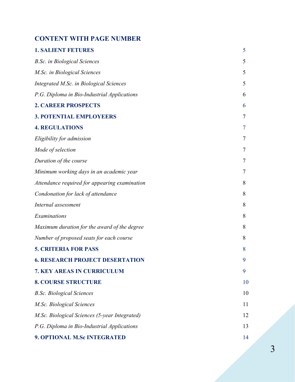#### **CONTENT WITH PAGE NUMBER**

| <b>1. SALIENT FETURES</b>                     | 5  |
|-----------------------------------------------|----|
| <b>B.Sc.</b> in Biological Sciences           | 5  |
| M.Sc. in Biological Sciences                  | 5  |
| Integrated M.Sc. in Biological Sciences       | 5  |
| P.G. Diploma in Bio-Industrial Applications   | 6  |
| <b>2. CAREER PROSPECTS</b>                    | 6  |
| <b>3. POTENTIAL EMPLOYEERS</b>                | 7  |
| <b>4. REGULATIONS</b>                         | 7  |
| Eligibility for admission                     | 7  |
| Mode of selection                             | 7  |
| Duration of the course                        | 7  |
| Minimum working days in an academic year      | 7  |
| Attendance required for appearing examination | 8  |
| Condonation for lack of attendance            | 8  |
| Internal assessment                           | 8  |
| Examinations                                  | 8  |
| Maximum duration for the award of the degree  | 8  |
| Number of proposed seats for each course      | 8  |
| <b>5. CRITERIA FOR PASS</b>                   | 8  |
| <b>6. RESEARCH PROJECT DESERTATION</b>        | 9  |
| <b>7. KEY AREAS IN CURRICULUM</b>             | 9  |
| <b>8. COURSE STRUCTURE</b>                    | 10 |
| <b>B.Sc. Biological Sciences</b>              | 10 |
| M.Sc. Biological Sciences                     | 11 |
| M.Sc. Biological Sciences (5-year Integrated) | 12 |
| P.G. Diploma in Bio-Industrial Applications   | 13 |
| 9. OPTIONAL M.Sc INTEGRATED                   | 14 |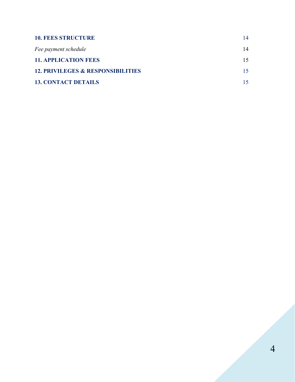| <b>10. FEES STRUCTURE</b>                    | 14  |
|----------------------------------------------|-----|
| Fee payment schedule                         | 14  |
| <b>11. APPLICATION FEES</b>                  | 15. |
| <b>12. PRIVILEGES &amp; RESPONSIBILITIES</b> | 15. |
| <b>13. CONTACT DETAILS</b>                   |     |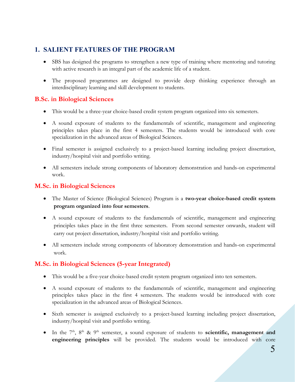#### **1. SALIENT FEATURES OF THE PROGRAM**

- SBS has designed the programs to strengthen a new type of training where mentoring and tutoring with active research is an integral part of the academic life of a student.
- The proposed programmes are designed to provide deep thinking experience through an interdisciplinary learning and skill development to students.

#### **B.Sc. in Biological Sciences**

- This would be a three-year choice-based credit system program organized into six semesters.
- A sound exposure of students to the fundamentals of scientific, management and engineering principles takes place in the first 4 semesters. The students would be introduced with core specialization in the advanced areas of Biological Sciences.
- Final semester is assigned exclusively to a project-based learning including project dissertation, industry/hospital visit and portfolio writing.
- All semesters include strong components of laboratory demonstration and hands-on experimental work.

#### **M.Sc. in Biological Sciences**

- The Master of Science (Biological Sciences) Program is a **two-year choice-based credit system program organized into four semesters**.
- A sound exposure of students to the fundamentals of scientific, management and engineering principles takes place in the first three semesters. From second semester onwards, student will carry out project dissertation, industry/hospital visit and portfolio writing.
- All semesters include strong components of laboratory demonstration and hands-on experimental work.

#### **M.Sc. in Biological Sciences (5-year Integrated)**

- This would be a five-year choice-based credit system program organized into ten semesters.
- A sound exposure of students to the fundamentals of scientific, management and engineering principles takes place in the first 4 semesters. The students would be introduced with core specialization in the advanced areas of Biological Sciences.
- Sixth semester is assigned exclusively to a project-based learning including project dissertation, industry/hospital visit and portfolio writing.
- In the 7<sup>th</sup>, 8<sup>th</sup> & 9<sup>th</sup> semester, a sound exposure of students to **scientific, management and engineering principles** will be provided. The students would be introduced with core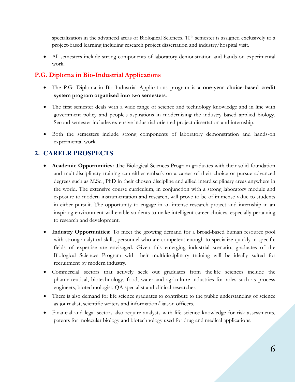specialization in the advanced areas of Biological Sciences.  $10<sup>th</sup>$  semester is assigned exclusively to a project-based learning including research project dissertation and industry/hospital visit.

 All semesters include strong components of laboratory demonstration and hands-on experimental work.

#### **P.G. Diploma in Bio-Industrial Applications**

- The P.G. Diploma in Bio-Industrial Applications program is a **one-year choice-based credit system program organized into two semesters**.
- The first semester deals with a wide range of science and technology knowledge and in line with government policy and people's aspirations in modernizing the industry based applied biology. Second semester includes extensive industrial-oriented project dissertation and internship.
- Both the semesters include strong components of laboratory demonstration and hands-on experimental work.

#### **2. CAREER PROSPECTS**

- **Academic Opportunities:** The Biological Sciences Program graduates with their solid foundation and multidisciplinary training can either embark on a career of their choice or pursue advanced degrees such as M.Sc., PhD in their chosen discipline and allied interdisciplinary areas anywhere in the world. The extensive course curriculum, in conjunction with a strong laboratory module and exposure to modern instrumentation and research, will prove to be of immense value to students in either pursuit. The opportunity to engage in an intense research project and internship in an inspiring environment will enable students to make intelligent career choices, especially pertaining to research and development.
- **Industry Opportunities:** To meet the growing demand for a broad-based human resource pool with strong analytical skills, personnel who are competent enough to specialize quickly in specific fields of expertise are envisaged. Given this emerging industrial scenario, graduates of the Biological Sciences Program with their multidisciplinary training will be ideally suited for recruitment by modern industry.
- Commercial sectors that actively seek out graduates from the life sciences include the pharmaceutical, biotechnology, food, water and agriculture industries for roles such as process engineers, biotechnologist, QA specialist and clinical researcher.
- There is also demand for life science graduates to contribute to the public understanding of science as journalist, scientific writers and information/liaison officers.
- Financial and legal sectors also require analysts with life science knowledge for risk assessments, patents for molecular biology and biotechnology used for drug and medical applications.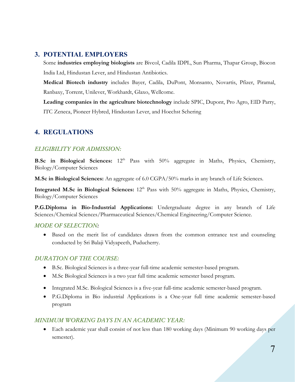#### **3. POTENTIAL EMPLOYERS**

Some **industries employing biologists** are Bivcol, Cadila IDPL, Sun Pharma, Thapar Group, Biocon India Ltd, Hindustan Lever, and Hindustan Antibiotics.

**Medical Biotech industry** includes Bayer, Cadila, DuPont, Monsanto, Novartis, Pfizer, Piramal, Ranbaxy, Torrent, Unilever, Workhardt, Glaxo, Wellcome.

**Leading companies in the agriculture biotechnology** include SPIC, Dupont, Pro Agro, EID Parry, ITC Zeneca, Pioneer Hybred, Hindustan Lever, and Hoechst Schering

#### **4. REGULATIONS**

#### *ELIGIBILITY FOR ADMISSION:*

**B.Sc in Biological Sciences:** 12th Pass with 50% aggregate in Maths, Physics, Chemistry, Biology/Computer Sciences

**M.Sc in Biological Sciences:** An aggregate of 6.0 CGPA/50% marks in any branch of Life Sciences.

**Integrated M.Sc in Biological Sciences:**  $12<sup>th</sup>$  Pass with 50% aggregate in Maths, Physics, Chemistry, Biology/Computer Sciences

**P.G.Diploma in Bio-Industrial Applications:** Undergraduate degree in any branch of Life Sciences/Chemical Sciences/Pharmaceutical Sciences/Chemical Engineering/Computer Science.

#### *MODE OF SELECTION:*

 Based on the merit list of candidates drawn from the common entrance test and counseling conducted by Sri Balaji Vidyapeeth, Puducherry.

#### *DURATION OF THE COURSE:*

- B.Sc. Biological Sciences is a three-year full-time academic semester-based program.
- M.Sc Biological Sciences is a two year full time academic semester based program.
- Integrated M.Sc. Biological Sciences is a five-year full-time academic semester-based program.
- P.G.Diploma in Bio industrial Applications is a One-year full time academic semester-based program

#### *MINIMUM WORKING DAYS IN AN ACADEMIC YEAR:*

 Each academic year shall consist of not less than 180 working days (Minimum 90 working days per semester).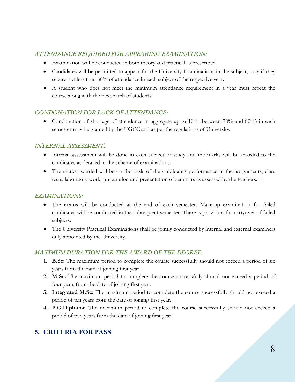#### *ATTENDANCE REQUIRED FOR APPEARING EXAMINATION:*

- Examination will be conducted in both theory and practical as prescribed.
- Candidates will be permitted to appear for the University Examinations in the subject, only if they secure not less than 80% of attendance in each subject of the respective year.
- A student who does not meet the minimum attendance requirement in a year must repeat the course along with the next batch of students.

#### *CONDONATION FOR LACK OF ATTENDANCE:*

• Condonation of shortage of attendance in aggregate up to 10% (between 70% and 80%) in each semester may be granted by the UGCC and as per the regulations of University.

#### *INTERNAL ASSESSMENT:*

- Internal assessment will be done in each subject of study and the marks will be awarded to the candidates as detailed in the scheme of examinations.
- The marks awarded will be on the basis of the candidate's performance in the assignments, class tests, laboratory work, preparation and presentation of seminars as assessed by the teachers.

#### *EXAMINATIONS:*

- The exams will be conducted at the end of each semester. Make-up examination for failed candidates will be conducted in the subsequent semester. There is provision for carryover of failed subjects.
- The University Practical Examinations shall be jointly conducted by internal and external examiners duly appointed by the University.

#### *MAXIMUM DURATION FOR THE AWARD OF THE DEGREE:*

- **1. B.Sc:** The maximum period to complete the course successfully should not exceed a period of six years from the date of joining first year.
- **2. M.Sc:** The maximum period to complete the course successfully should not exceed a period of four years from the date of joining first year.
- **3. Integrated M.Sc:** The maximum period to complete the course successfully should not exceed a period of ten years from the date of joining first year.
- **4. P.G.Diploma:** The maximum period to complete the course successfully should not exceed a period of two years from the date of joining first year.

### **5. CRITERIA FOR PASS**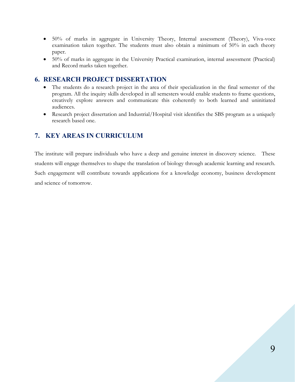- 50% of marks in aggregate in University Theory, Internal assessment (Theory), Viva-voce examination taken together. The students must also obtain a minimum of 50% in each theory paper.
- 50% of marks in aggregate in the University Practical examination, internal assessment (Practical) and Record marks taken together.

#### **6. RESEARCH PROJECT DISSERTATION**

- The students do a research project in the area of their specialization in the final semester of the program. All the inquiry skills developed in all semesters would enable students to frame questions, creatively explore answers and communicate this coherently to both learned and uninitiated audiences.
- Research project dissertation and Industrial/Hospital visit identifies the SBS program as a uniquely research based one.

#### **7. KEY AREAS IN CURRICULUM**

The institute will prepare individuals who have a deep and genuine interest in discovery science. These students will engage themselves to shape the translation of biology through academic learning and research. Such engagement will contribute towards applications for a knowledge economy, business development and science of tomorrow.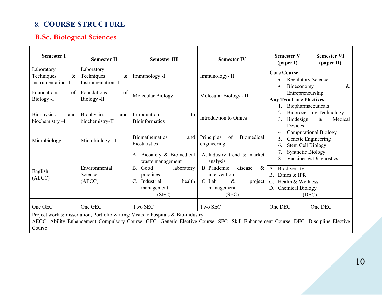### **8. COURSE STRUCTURE**

## **B.Sc. Biological Sciences**

| <b>Semester I</b>                                                                                                                                                                                                                  | <b>Semester II</b>                                      | <b>Semester III</b>                                                                                                                                | <b>Semester IV</b>                                                                                                                           | <b>Semester V</b><br><b>Semester VI</b><br>(paper II)<br>(paper I)                                                                                                                          |  |
|------------------------------------------------------------------------------------------------------------------------------------------------------------------------------------------------------------------------------------|---------------------------------------------------------|----------------------------------------------------------------------------------------------------------------------------------------------------|----------------------------------------------------------------------------------------------------------------------------------------------|---------------------------------------------------------------------------------------------------------------------------------------------------------------------------------------------|--|
| Laboratory<br>Techniques<br>$\&$<br>Instrumentation-I                                                                                                                                                                              | Laboratory<br>Techniques<br>$\&$<br>Instrumentation -II | Immunology -I                                                                                                                                      | Immunology-II                                                                                                                                | <b>Core Course:</b><br><b>Regulatory Sciences</b><br>$\bullet$<br>Bioeconomy<br>&                                                                                                           |  |
| Foundations<br>of<br>Biology -I                                                                                                                                                                                                    | Foundations<br>of<br>Biology -II                        | Molecular Biology-I                                                                                                                                | Molecular Biology - II                                                                                                                       | Entrepreneurship<br><b>Any Two Core Electives:</b><br>Biopharmaceuticals                                                                                                                    |  |
| Biophysics<br>and<br>biochemistry-I                                                                                                                                                                                                | Biophysics<br>and<br>biochemistry-II                    | Introduction<br>to<br><b>Bioinformatics</b>                                                                                                        | Introduction to Omics                                                                                                                        | <b>Bioprocessing Technology</b><br>Biodesign<br>$\&$<br>3.<br>Medical<br>Devices                                                                                                            |  |
| Microbiology -I                                                                                                                                                                                                                    | Microbiology -II                                        | Biomathematics<br>and<br>biostatistics                                                                                                             | of<br>Biomedical<br>Principles<br>engineering                                                                                                | <b>Computational Biology</b><br>Genetic Engineering<br>5.<br>Stem Cell Biology<br>6.                                                                                                        |  |
| English<br>(AECC)                                                                                                                                                                                                                  | Environmental<br>Sciences<br>(AECC)                     | A. Biosafety & Biomedical<br>waste management<br>Good<br>laboratory<br><b>B.</b><br>practices<br>Industrial<br>health<br>C.<br>management<br>(SEC) | A. Industry trend & market<br>analysis<br>B. Pandemic<br>disease<br>$\&$<br>intervention<br>C. Lab<br>$\&$<br>project<br>management<br>(SEC) | <b>Synthetic Biology</b><br>Vaccines & Diagnostics<br>8.<br>A. Biodiversity<br>Ethics & IPR<br>$\mathbf{B}$ .<br>Health & Wellness<br>$C_{\cdot}$<br><b>Chemical Biology</b><br>D.<br>(DEC) |  |
| One GEC                                                                                                                                                                                                                            | One GEC                                                 | Two SEC                                                                                                                                            | Two SEC                                                                                                                                      | One DEC<br>One DEC                                                                                                                                                                          |  |
| Project work & dissertation; Portfolio writing; Visits to hospitals & Bio-industry<br>AECC- Ability Enhancement Compulsory Course; GEC- Generic Elective Course; SEC- Skill Enhancement Course; DEC- Discipline Elective<br>Course |                                                         |                                                                                                                                                    |                                                                                                                                              |                                                                                                                                                                                             |  |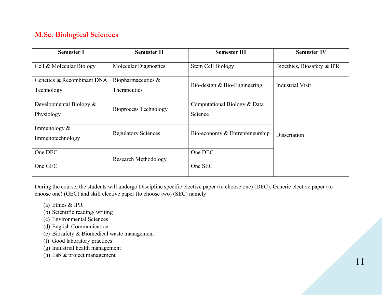### **M.Sc. Biological Sciences**

| <b>Semester I</b>                        | <b>Semester II</b>                    | <b>Semester III</b>                     | <b>Semester IV</b>         |
|------------------------------------------|---------------------------------------|-----------------------------------------|----------------------------|
| Cell & Molecular Biology                 | <b>Molecular Diagnostics</b>          | Stem Cell Biology                       | Bioethics, Biosafety & IPR |
| Genetics & Recombinant DNA<br>Technology | Biopharmaceutics $\&$<br>Therapeutics | Bio-design & Bio-Engineering            | <b>Industrial Visit</b>    |
| Developmental Biology $&$<br>Physiology  | Bioprocess Technology                 | Computational Biology & Data<br>Science |                            |
| Immunology $&$<br>Immunotechnology       | <b>Regulatory Sciences</b>            | Bio-economy & Entrepreneurship          | Dissertation               |
| One DEC                                  | Research Methodology                  | One DEC                                 |                            |
| One GEC                                  |                                       | One SEC                                 |                            |

During the course, the students will undergo Discipline specific elective paper (to choose one) (DEC), Generic elective paper (to choose one) (GEC) and skill elective paper (to choose two) (SEC) namely

- (a) Ethics & IPR
- (b) Scientific reading/ writing
- (c) Environmental Sciences
- (d) English Communication
- (e) Biosafety & Biomedical waste management
- (f) Good laboratory practices
- (g) Industrial health management
- (h) Lab & project management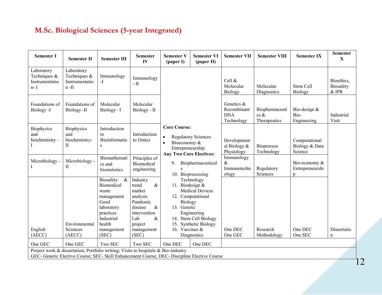### **M.Sc. Biological Sciences (5-year Integrated)**

| <b>Semester I</b>                                                                                                                                                                  | <b>Semester II</b>                                      | <b>Semester III</b>                                                                                               | <b>Semester</b><br>$\mathbf{IV}$                                                                                   | <b>Semester V</b><br>(paper I)                                                                                      | <b>Semester VI</b><br>(paper II)                                                                                          | <b>Semester VII</b>                                   | <b>Semester VIII</b>                        | <b>Semester IX</b>                         | <b>Semester</b><br>$\mathbf X$     |
|------------------------------------------------------------------------------------------------------------------------------------------------------------------------------------|---------------------------------------------------------|-------------------------------------------------------------------------------------------------------------------|--------------------------------------------------------------------------------------------------------------------|---------------------------------------------------------------------------------------------------------------------|---------------------------------------------------------------------------------------------------------------------------|-------------------------------------------------------|---------------------------------------------|--------------------------------------------|------------------------------------|
| Laboratory<br>Techniques &<br>Instrumentatio<br>$n - I$                                                                                                                            | Laboratory<br>Techniques &<br>Instrumentatio<br>$n$ -II | Immunology<br>$-I$                                                                                                | Immunology<br>$-$ II                                                                                               |                                                                                                                     |                                                                                                                           | Cell &<br>Molecular<br>Biology                        | Molecular<br>Diagnostics                    | Stem Cell<br>Biology                       | Bioethics,<br>Biosafety<br>$&$ IPR |
| Foundations of<br>Biology -I                                                                                                                                                       | Foundations of<br>Biology -II                           | Molecular<br>Biology-I                                                                                            | Molecular<br>Biology - II                                                                                          |                                                                                                                     |                                                                                                                           | Genetics &<br>Recombinant<br><b>DNA</b><br>Technology | Biopharmaceuti<br>$\cos \&$<br>Therapeutics | Bio-design &<br>Bio-<br>Engineering        | Industrial<br>Visit                |
| Biophysics<br>and<br>biochemistry-                                                                                                                                                 | <b>Biophysics</b><br>and<br>biochemistry-<br>П          | Introduction<br>to<br>Bioinformatic<br>S                                                                          | Introduction<br>to Omics                                                                                           | <b>Core Course:</b><br>$\bullet$<br>Bioeconomy &<br>$\bullet$<br>Entrepreneurship<br><b>Any Two Core Electives:</b> | <b>Regulatory Sciences</b>                                                                                                | Development<br>al Biology &<br>Physiology             | <b>Bioprocess</b><br>Technology             | Computational<br>Biology & Data<br>Science |                                    |
| Microbiology -                                                                                                                                                                     | Microbiology -<br>П                                     | Biomathemati<br>cs and<br>biostatistics                                                                           | Principles of<br><b>Biomedical</b><br>engineering                                                                  | 9.                                                                                                                  | Biopharmaceutical<br>10. Bioprocessing                                                                                    | Immunology<br>&<br>Immunotechn<br>ology               | Regulatory<br>Sciences                      | Bio-economy &<br>Entrepreneurshi<br>p      |                                    |
|                                                                                                                                                                                    | Environmental                                           | Biosafety<br>$\&$<br>Biomedical<br>waste<br>management<br>Good<br>laboratory<br>practices<br>Industrial<br>health | Industry<br>$\&$<br>trend<br>market<br>analysis<br>Pandemic<br>disease<br>&<br>intervention<br>&<br>Lab<br>project | 11. Biodesign &<br>Biology<br>13. Genetic<br>14.<br>15.                                                             | Technology<br><b>Medical Devices</b><br>12. Computational<br>Engineering<br>Stem Cell Biology<br><b>Synthetic Biology</b> |                                                       |                                             |                                            |                                    |
| English<br>(AECC)                                                                                                                                                                  | Sciences<br>(AECC)                                      | management<br>(SEC)                                                                                               | management<br>(SEC)                                                                                                | 16. Vaccines &                                                                                                      | Diagnostics                                                                                                               | One DEC<br>One GEC                                    | Research<br>Methodology                     | One DEC<br>One SEC                         | Dissertatio<br>$\mathbf n$         |
| One GEC                                                                                                                                                                            | One GEC                                                 | Two SEC                                                                                                           | Two SEC                                                                                                            | One DEC                                                                                                             | One DEC                                                                                                                   |                                                       |                                             |                                            |                                    |
| Project work & dissertation; Portfolio writing; Visits to hospitals & Bio-industry<br>GEC- Generic Elective Course; SEC- Skill Enhancement Course; DEC- Discipline Elective Course |                                                         |                                                                                                                   |                                                                                                                    |                                                                                                                     |                                                                                                                           |                                                       |                                             |                                            |                                    |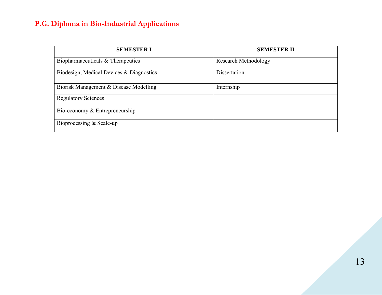### **P.G. Diploma in Bio-Industrial Applications**

| <b>SEMESTER I</b>                        | <b>SEMESTER II</b>   |
|------------------------------------------|----------------------|
| Biopharmaceuticals & Therapeutics        | Research Methodology |
| Biodesign, Medical Devices & Diagnostics | Dissertation         |
| Biorisk Management & Disease Modelling   | Internship           |
| <b>Regulatory Sciences</b>               |                      |
| Bio-economy & Entrepreneurship           |                      |
| Bioprocessing & Scale-up                 |                      |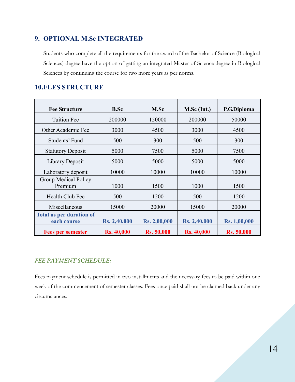#### **9. OPTIONAL M.Sc INTEGRATED**

Students who complete all the requirements for the award of the Bachelor of Science (Biological Sciences) degree have the option of getting an integrated Master of Science degree in Biological Sciences by continuing the course for two more years as per norms.

#### **10.FEES STRUCTURE**

| <b>Fee Structure</b>                           | <b>B.Sc</b>       | M.Sc              | $M.Sc$ (Int.)     | P.G.Diploma       |
|------------------------------------------------|-------------------|-------------------|-------------------|-------------------|
| <b>Tuition Fee</b>                             | 200000            | 150000            | 200000            | 50000             |
| Other Academic Fee                             | 3000              | 4500              | 3000              | 4500              |
| Students' Fund                                 | 500               | 300               | 500               | 300               |
| <b>Statutory Deposit</b>                       | 5000              | 7500              | 5000              | 7500              |
| Library Deposit                                | 5000              | 5000              | 5000              | 5000              |
| Laboratory deposit                             | 10000             | 10000             | 10000             | 10000             |
| Group Medical Policy<br>Premium                | 1000              | 1500              | 1000              | 1500              |
| Health Club Fee                                | 500               | 1200              | 500               | 1200              |
| Miscellaneous                                  | 15000             | 20000             | 15000             | 20000             |
| <b>Total as per duration of</b><br>each course | Rs. 2,40,000      | Rs. 2,00,000      | Rs. 2,40,000      | Rs. 1,00,000      |
| <b>Fees per semester</b>                       | <b>Rs. 40,000</b> | <b>Rs. 50,000</b> | <b>Rs. 40,000</b> | <b>Rs. 50,000</b> |

#### *FEE PAYMENT SCHEDULE:*

Fees payment schedule is permitted in two installments and the necessary fees to be paid within one week of the commencement of semester classes. Fees once paid shall not be claimed back under any circumstances.